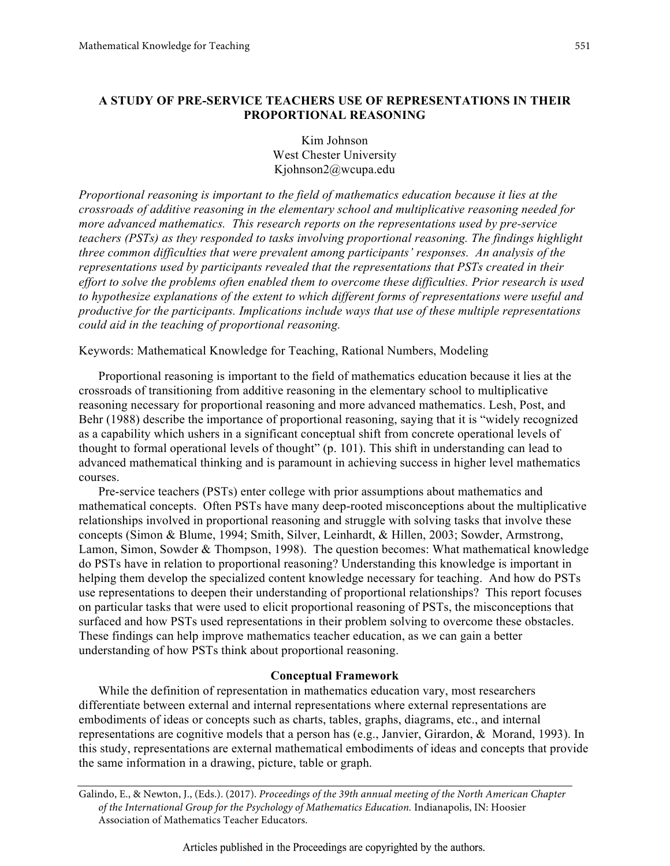## **A STUDY OF PRE-SERVICE TEACHERS USE OF REPRESENTATIONS IN THEIR PROPORTIONAL REASONING**

Kim Johnson West Chester University Kjohnson2@wcupa.edu

*Proportional reasoning is important to the field of mathematics education because it lies at the crossroads of additive reasoning in the elementary school and multiplicative reasoning needed for more advanced mathematics. This research reports on the representations used by pre-service teachers (PSTs) as they responded to tasks involving proportional reasoning. The findings highlight three common difficulties that were prevalent among participants' responses. An analysis of the representations used by participants revealed that the representations that PSTs created in their effort to solve the problems often enabled them to overcome these difficulties. Prior research is used to hypothesize explanations of the extent to which different forms of representations were useful and productive for the participants. Implications include ways that use of these multiple representations could aid in the teaching of proportional reasoning.*

Keywords: Mathematical Knowledge for Teaching, Rational Numbers, Modeling

Proportional reasoning is important to the field of mathematics education because it lies at the crossroads of transitioning from additive reasoning in the elementary school to multiplicative reasoning necessary for proportional reasoning and more advanced mathematics. Lesh, Post, and Behr (1988) describe the importance of proportional reasoning, saying that it is "widely recognized as a capability which ushers in a significant conceptual shift from concrete operational levels of thought to formal operational levels of thought" (p. 101). This shift in understanding can lead to advanced mathematical thinking and is paramount in achieving success in higher level mathematics courses.

Pre-service teachers (PSTs) enter college with prior assumptions about mathematics and mathematical concepts. Often PSTs have many deep-rooted misconceptions about the multiplicative relationships involved in proportional reasoning and struggle with solving tasks that involve these concepts (Simon & Blume, 1994; Smith, Silver, Leinhardt, & Hillen, 2003; Sowder, Armstrong, Lamon, Simon, Sowder & Thompson, 1998). The question becomes: What mathematical knowledge do PSTs have in relation to proportional reasoning? Understanding this knowledge is important in helping them develop the specialized content knowledge necessary for teaching. And how do PSTs use representations to deepen their understanding of proportional relationships? This report focuses on particular tasks that were used to elicit proportional reasoning of PSTs, the misconceptions that surfaced and how PSTs used representations in their problem solving to overcome these obstacles. These findings can help improve mathematics teacher education, as we can gain a better understanding of how PSTs think about proportional reasoning.

### **Conceptual Framework**

While the definition of representation in mathematics education vary, most researchers differentiate between external and internal representations where external representations are embodiments of ideas or concepts such as charts, tables, graphs, diagrams, etc., and internal representations are cognitive models that a person has (e.g., Janvier, Girardon, & Morand, 1993). In this study, representations are external mathematical embodiments of ideas and concepts that provide the same information in a drawing, picture, table or graph.

Galindo, E., & Newton, J., (Eds.). (2017). *Proceedings of the 39th annual meeting of the North American Chapter of the International Group for the Psychology of Mathematics Education.* Indianapolis, IN: Hoosier Association of Mathematics Teacher Educators.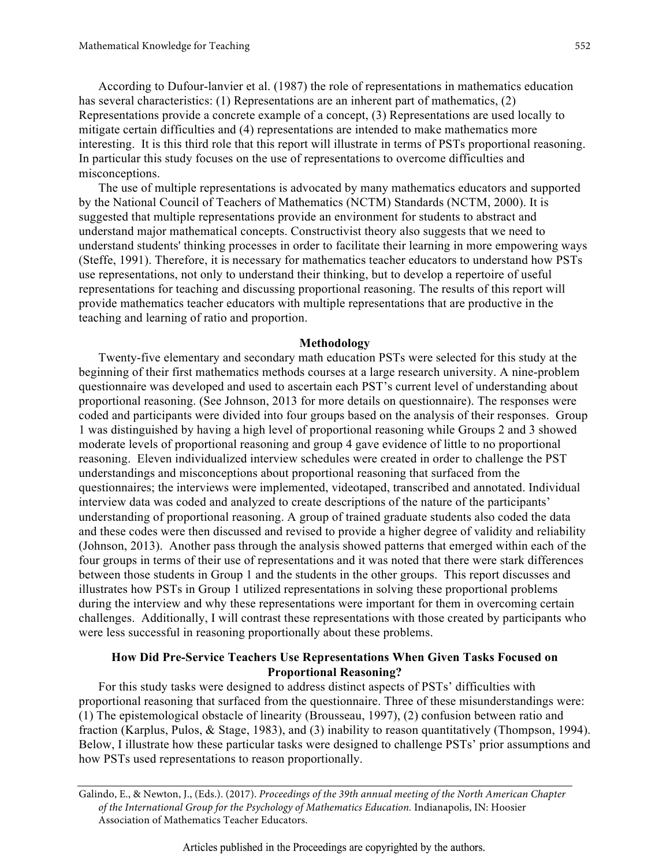According to Dufour-lanvier et al. (1987) the role of representations in mathematics education has several characteristics: (1) Representations are an inherent part of mathematics, (2) Representations provide a concrete example of a concept, (3) Representations are used locally to mitigate certain difficulties and (4) representations are intended to make mathematics more interesting. It is this third role that this report will illustrate in terms of PSTs proportional reasoning. In particular this study focuses on the use of representations to overcome difficulties and misconceptions.

The use of multiple representations is advocated by many mathematics educators and supported by the National Council of Teachers of Mathematics (NCTM) Standards (NCTM, 2000). It is suggested that multiple representations provide an environment for students to abstract and understand major mathematical concepts. Constructivist theory also suggests that we need to understand students' thinking processes in order to facilitate their learning in more empowering ways (Steffe, 1991). Therefore, it is necessary for mathematics teacher educators to understand how PSTs use representations, not only to understand their thinking, but to develop a repertoire of useful representations for teaching and discussing proportional reasoning. The results of this report will provide mathematics teacher educators with multiple representations that are productive in the teaching and learning of ratio and proportion.

### **Methodology**

Twenty-five elementary and secondary math education PSTs were selected for this study at the beginning of their first mathematics methods courses at a large research university. A nine-problem questionnaire was developed and used to ascertain each PST's current level of understanding about proportional reasoning. (See Johnson, 2013 for more details on questionnaire). The responses were coded and participants were divided into four groups based on the analysis of their responses. Group 1 was distinguished by having a high level of proportional reasoning while Groups 2 and 3 showed moderate levels of proportional reasoning and group 4 gave evidence of little to no proportional reasoning. Eleven individualized interview schedules were created in order to challenge the PST understandings and misconceptions about proportional reasoning that surfaced from the questionnaires; the interviews were implemented, videotaped, transcribed and annotated. Individual interview data was coded and analyzed to create descriptions of the nature of the participants' understanding of proportional reasoning. A group of trained graduate students also coded the data and these codes were then discussed and revised to provide a higher degree of validity and reliability (Johnson, 2013). Another pass through the analysis showed patterns that emerged within each of the four groups in terms of their use of representations and it was noted that there were stark differences between those students in Group 1 and the students in the other groups. This report discusses and illustrates how PSTs in Group 1 utilized representations in solving these proportional problems during the interview and why these representations were important for them in overcoming certain challenges. Additionally, I will contrast these representations with those created by participants who were less successful in reasoning proportionally about these problems.

## **How Did Pre-Service Teachers Use Representations When Given Tasks Focused on Proportional Reasoning?**

For this study tasks were designed to address distinct aspects of PSTs' difficulties with proportional reasoning that surfaced from the questionnaire. Three of these misunderstandings were: (1) The epistemological obstacle of linearity (Brousseau, 1997), (2) confusion between ratio and fraction (Karplus, Pulos, & Stage, 1983), and (3) inability to reason quantitatively (Thompson, 1994). Below, I illustrate how these particular tasks were designed to challenge PSTs' prior assumptions and how PSTs used representations to reason proportionally.

Galindo, E., & Newton, J., (Eds.). (2017). *Proceedings of the 39th annual meeting of the North American Chapter of the International Group for the Psychology of Mathematics Education.* Indianapolis, IN: Hoosier Association of Mathematics Teacher Educators.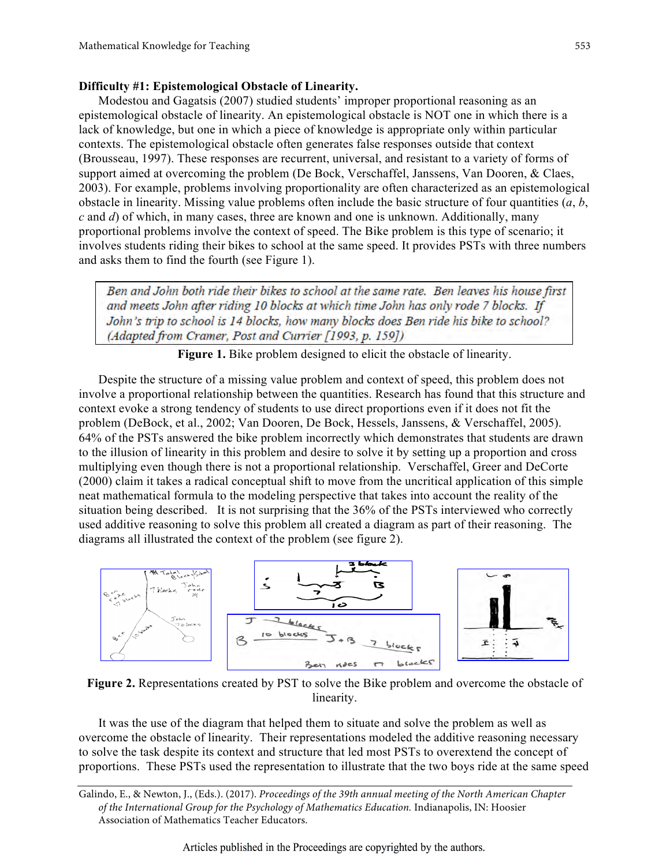### **Difficulty #1: Epistemological Obstacle of Linearity.**

Modestou and Gagatsis (2007) studied students' improper proportional reasoning as an epistemological obstacle of linearity. An epistemological obstacle is NOT one in which there is a lack of knowledge, but one in which a piece of knowledge is appropriate only within particular contexts. The epistemological obstacle often generates false responses outside that context (Brousseau, 1997). These responses are recurrent, universal, and resistant to a variety of forms of support aimed at overcoming the problem (De Bock, Verschaffel, Janssens, Van Dooren, & Claes, 2003). For example, problems involving proportionality are often characterized as an epistemological obstacle in linearity. Missing value problems often include the basic structure of four quantities (*a*, *b*, *c* and *d*) of which, in many cases, three are known and one is unknown. Additionally, many proportional problems involve the context of speed. The Bike problem is this type of scenario; it involves students riding their bikes to school at the same speed. It provides PSTs with three numbers and asks them to find the fourth (see Figure 1).

Ben and John both ride their bikes to school at the same rate. Ben leaves his house first and meets John after riding 10 blocks at which time John has only rode 7 blocks. If John's trip to school is 14 blocks, how many blocks does Ben ride his bike to school? (Adapted from Cramer, Post and Currier [1993, p. 159])

Figure 1. Bike problem designed to elicit the obstacle of linearity.

Despite the structure of a missing value problem and context of speed, this problem does not involve a proportional relationship between the quantities. Research has found that this structure and context evoke a strong tendency of students to use direct proportions even if it does not fit the problem (DeBock, et al., 2002; Van Dooren, De Bock, Hessels, Janssens, & Verschaffel, 2005). 64% of the PSTs answered the bike problem incorrectly which demonstrates that students are drawn to the illusion of linearity in this problem and desire to solve it by setting up a proportion and cross multiplying even though there is not a proportional relationship. Verschaffel, Greer and DeCorte (2000) claim it takes a radical conceptual shift to move from the uncritical application of this simple neat mathematical formula to the modeling perspective that takes into account the reality of the situation being described. It is not surprising that the 36% of the PSTs interviewed who correctly used additive reasoning to solve this problem all created a diagram as part of their reasoning. The diagrams all illustrated the context of the problem (see figure 2).



**Figure 2.** Representations created by PST to solve the Bike problem and overcome the obstacle of linearity.

It was the use of the diagram that helped them to situate and solve the problem as well as overcome the obstacle of linearity. Their representations modeled the additive reasoning necessary to solve the task despite its context and structure that led most PSTs to overextend the concept of proportions. These PSTs used the representation to illustrate that the two boys ride at the same speed

Galindo, E., & Newton, J., (Eds.). (2017). *Proceedings of the 39th annual meeting of the North American Chapter of the International Group for the Psychology of Mathematics Education.* Indianapolis, IN: Hoosier Association of Mathematics Teacher Educators.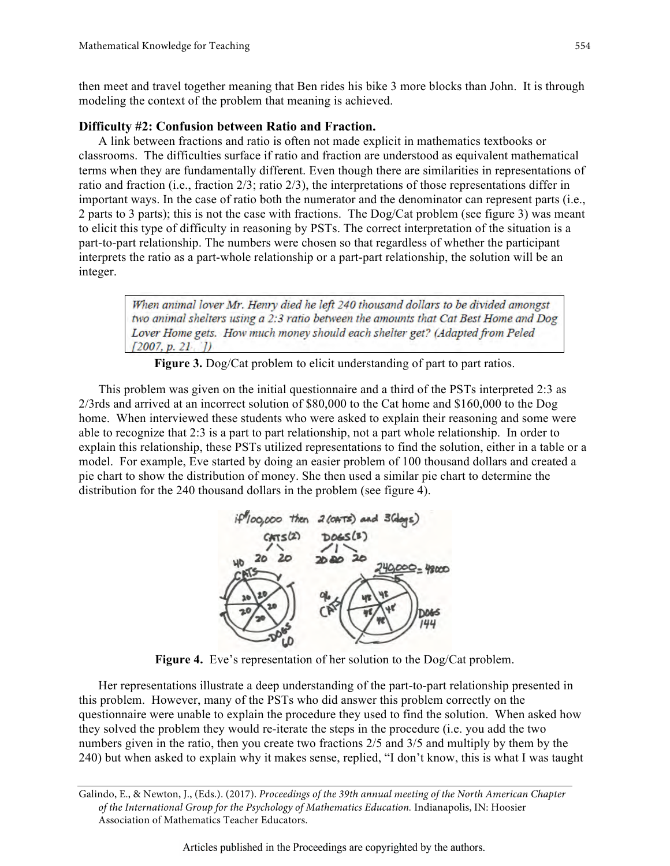then meet and travel together meaning that Ben rides his bike 3 more blocks than John. It is through modeling the context of the problem that meaning is achieved.

# **Difficulty #2: Confusion between Ratio and Fraction.**

A link between fractions and ratio is often not made explicit in mathematics textbooks or classrooms. The difficulties surface if ratio and fraction are understood as equivalent mathematical terms when they are fundamentally different. Even though there are similarities in representations of ratio and fraction (i.e., fraction 2/3; ratio 2/3), the interpretations of those representations differ in important ways. In the case of ratio both the numerator and the denominator can represent parts (i.e., 2 parts to 3 parts); this is not the case with fractions. The Dog/Cat problem (see figure 3) was meant to elicit this type of difficulty in reasoning by PSTs. The correct interpretation of the situation is a part-to-part relationship. The numbers were chosen so that regardless of whether the participant interprets the ratio as a part-whole relationship or a part-part relationship, the solution will be an integer.

> When animal lover Mr. Henry died he left 240 thousand dollars to be divided amongst two animal shelters using a 2:3 ratio between the amounts that Cat Best Home and Dog Lover Home gets. How much money should each shelter get? (Adapted from Peled  $(2007, p. 21, 7)$

**Figure 3.** Dog/Cat problem to elicit understanding of part to part ratios.

This problem was given on the initial questionnaire and a third of the PSTs interpreted 2:3 as 2/3rds and arrived at an incorrect solution of \$80,000 to the Cat home and \$160,000 to the Dog home. When interviewed these students who were asked to explain their reasoning and some were able to recognize that 2:3 is a part to part relationship, not a part whole relationship. In order to explain this relationship, these PSTs utilized representations to find the solution, either in a table or a model. For example, Eve started by doing an easier problem of 100 thousand dollars and created a pie chart to show the distribution of money. She then used a similar pie chart to determine the distribution for the 240 thousand dollars in the problem (see figure 4).



**Figure 4.** Eve's representation of her solution to the Dog/Cat problem.

Her representations illustrate a deep understanding of the part-to-part relationship presented in this problem. However, many of the PSTs who did answer this problem correctly on the questionnaire were unable to explain the procedure they used to find the solution. When asked how they solved the problem they would re-iterate the steps in the procedure (i.e. you add the two numbers given in the ratio, then you create two fractions 2/5 and 3/5 and multiply by them by the 240) but when asked to explain why it makes sense, replied, "I don't know, this is what I was taught

Galindo, E., & Newton, J., (Eds.). (2017). *Proceedings of the 39th annual meeting of the North American Chapter of the International Group for the Psychology of Mathematics Education.* Indianapolis, IN: Hoosier Association of Mathematics Teacher Educators.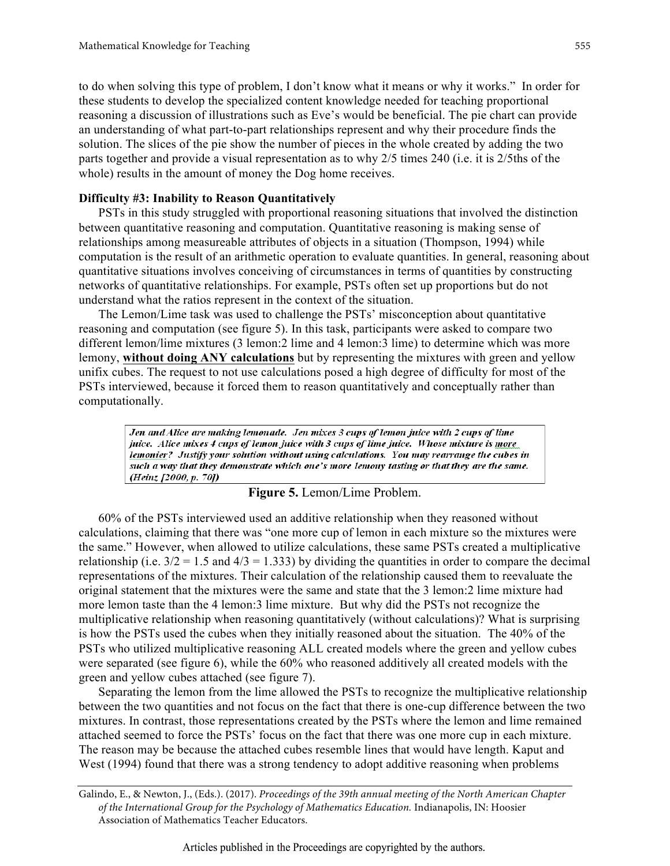to do when solving this type of problem, I don't know what it means or why it works." In order for these students to develop the specialized content knowledge needed for teaching proportional reasoning a discussion of illustrations such as Eve's would be beneficial. The pie chart can provide an understanding of what part-to-part relationships represent and why their procedure finds the solution. The slices of the pie show the number of pieces in the whole created by adding the two parts together and provide a visual representation as to why 2/5 times 240 (i.e. it is 2/5ths of the whole) results in the amount of money the Dog home receives.

## **Difficulty #3: Inability to Reason Quantitatively**

PSTs in this study struggled with proportional reasoning situations that involved the distinction between quantitative reasoning and computation. Quantitative reasoning is making sense of relationships among measureable attributes of objects in a situation (Thompson, 1994) while computation is the result of an arithmetic operation to evaluate quantities. In general, reasoning about quantitative situations involves conceiving of circumstances in terms of quantities by constructing networks of quantitative relationships. For example, PSTs often set up proportions but do not understand what the ratios represent in the context of the situation.

The Lemon/Lime task was used to challenge the PSTs' misconception about quantitative reasoning and computation (see figure 5). In this task, participants were asked to compare two different lemon/lime mixtures (3 lemon:2 lime and 4 lemon:3 lime) to determine which was more lemony, **without doing ANY calculations** but by representing the mixtures with green and yellow unifix cubes. The request to not use calculations posed a high degree of difficulty for most of the PSTs interviewed, because it forced them to reason quantitatively and conceptually rather than computationally.

Jen and Alice are making lemonade. Jen mixes 3 cups of lemon juice with 2 cups of lime juice. Alice mixes 4 cups of lemon juice with 3 cups of lime juice. Whose mixture is more lemonier? Justify your solution without using calculations. You may rearrange the cubes in such a way that they demonstrate which one's more lemony tasting or that they are the same. (Heinz [2000, p. 70])

### **Figure 5.** Lemon/Lime Problem.

60% of the PSTs interviewed used an additive relationship when they reasoned without calculations, claiming that there was "one more cup of lemon in each mixture so the mixtures were the same." However, when allowed to utilize calculations, these same PSTs created a multiplicative relationship (i.e.  $3/2 = 1.5$  and  $4/3 = 1.333$ ) by dividing the quantities in order to compare the decimal representations of the mixtures. Their calculation of the relationship caused them to reevaluate the original statement that the mixtures were the same and state that the 3 lemon:2 lime mixture had more lemon taste than the 4 lemon:3 lime mixture. But why did the PSTs not recognize the multiplicative relationship when reasoning quantitatively (without calculations)? What is surprising is how the PSTs used the cubes when they initially reasoned about the situation. The 40% of the PSTs who utilized multiplicative reasoning ALL created models where the green and yellow cubes were separated (see figure 6), while the 60% who reasoned additively all created models with the green and yellow cubes attached (see figure 7).

Separating the lemon from the lime allowed the PSTs to recognize the multiplicative relationship between the two quantities and not focus on the fact that there is one-cup difference between the two mixtures. In contrast, those representations created by the PSTs where the lemon and lime remained attached seemed to force the PSTs' focus on the fact that there was one more cup in each mixture. The reason may be because the attached cubes resemble lines that would have length. Kaput and West (1994) found that there was a strong tendency to adopt additive reasoning when problems

Galindo, E., & Newton, J., (Eds.). (2017). *Proceedings of the 39th annual meeting of the North American Chapter of the International Group for the Psychology of Mathematics Education.* Indianapolis, IN: Hoosier Association of Mathematics Teacher Educators.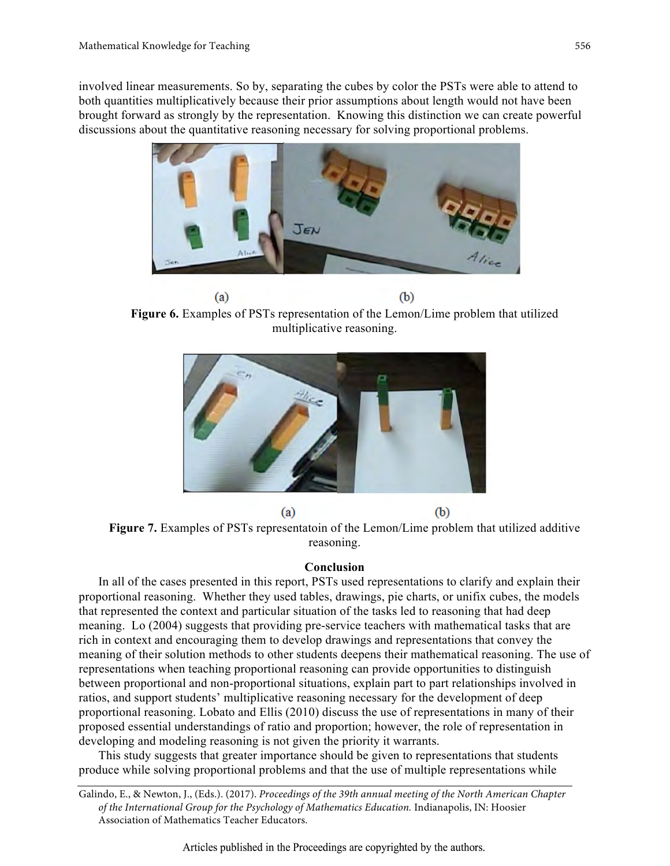involved linear measurements. So by, separating the cubes by color the PSTs were able to attend to both quantities multiplicatively because their prior assumptions about length would not have been brought forward as strongly by the representation. Knowing this distinction we can create powerful discussions about the quantitative reasoning necessary for solving proportional problems.



 $(b)$  $(a)$ **Figure 6.** Examples of PSTs representation of the Lemon/Lime problem that utilized multiplicative reasoning.



**Figure 7.** Examples of PSTs representatoin of the Lemon/Lime problem that utilized additive reasoning.

## **Conclusion**

In all of the cases presented in this report, PSTs used representations to clarify and explain their proportional reasoning. Whether they used tables, drawings, pie charts, or unifix cubes, the models that represented the context and particular situation of the tasks led to reasoning that had deep meaning. Lo (2004) suggests that providing pre-service teachers with mathematical tasks that are rich in context and encouraging them to develop drawings and representations that convey the meaning of their solution methods to other students deepens their mathematical reasoning. The use of representations when teaching proportional reasoning can provide opportunities to distinguish between proportional and non-proportional situations, explain part to part relationships involved in ratios, and support students' multiplicative reasoning necessary for the development of deep proportional reasoning. Lobato and Ellis (2010) discuss the use of representations in many of their proposed essential understandings of ratio and proportion; however, the role of representation in developing and modeling reasoning is not given the priority it warrants.

This study suggests that greater importance should be given to representations that students produce while solving proportional problems and that the use of multiple representations while

556

Galindo, E., & Newton, J., (Eds.). (2017). *Proceedings of the 39th annual meeting of the North American Chapter of the International Group for the Psychology of Mathematics Education.* Indianapolis, IN: Hoosier Association of Mathematics Teacher Educators.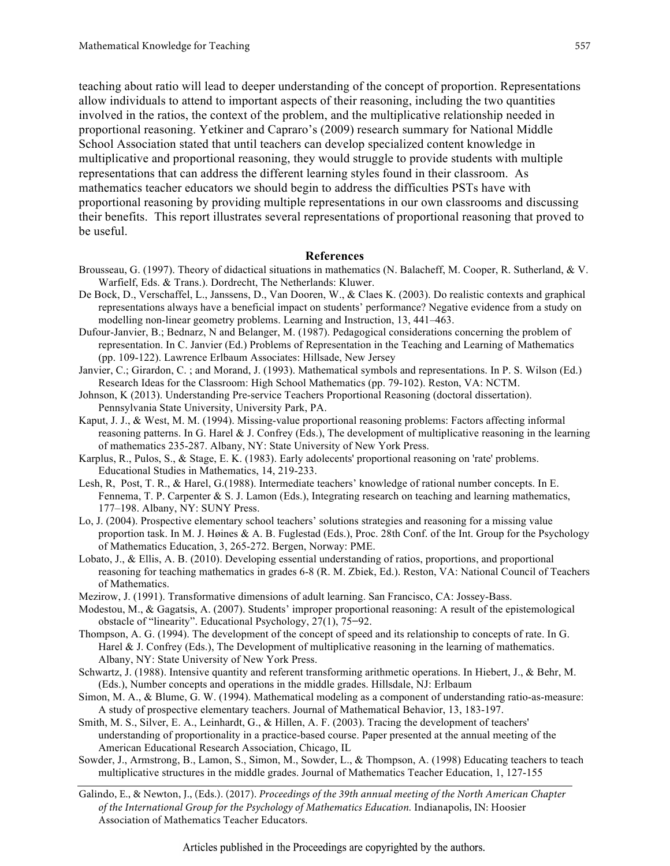teaching about ratio will lead to deeper understanding of the concept of proportion. Representations allow individuals to attend to important aspects of their reasoning, including the two quantities involved in the ratios, the context of the problem, and the multiplicative relationship needed in proportional reasoning. Yetkiner and Capraro's (2009) research summary for National Middle School Association stated that until teachers can develop specialized content knowledge in multiplicative and proportional reasoning, they would struggle to provide students with multiple representations that can address the different learning styles found in their classroom. As mathematics teacher educators we should begin to address the difficulties PSTs have with proportional reasoning by providing multiple representations in our own classrooms and discussing their benefits. This report illustrates several representations of proportional reasoning that proved to be useful.

#### **References**

- Brousseau, G. (1997). Theory of didactical situations in mathematics (N. Balacheff, M. Cooper, R. Sutherland, & V. Warfielf, Eds. & Trans.). Dordrecht, The Netherlands: Kluwer.
- De Bock, D., Verschaffel, L., Janssens, D., Van Dooren, W., & Claes K. (2003). Do realistic contexts and graphical representations always have a beneficial impact on students' performance? Negative evidence from a study on modelling non-linear geometry problems. Learning and Instruction, 13, 441–463.
- Dufour-Janvier, B.; Bednarz, N and Belanger, M. (1987). Pedagogical considerations concerning the problem of representation. In C. Janvier (Ed.) Problems of Representation in the Teaching and Learning of Mathematics (pp. 109-122). Lawrence Erlbaum Associates: Hillsade, New Jersey
- Janvier, C.; Girardon, C. ; and Morand, J. (1993). Mathematical symbols and representations. In P. S. Wilson (Ed.) Research Ideas for the Classroom: High School Mathematics (pp. 79-102). Reston, VA: NCTM.
- Johnson, K (2013). Understanding Pre-service Teachers Proportional Reasoning (doctoral dissertation). Pennsylvania State University, University Park, PA.
- Kaput, J. J., & West, M. M. (1994). Missing-value proportional reasoning problems: Factors affecting informal reasoning patterns. In G. Harel & J. Confrey (Eds.), The development of multiplicative reasoning in the learning of mathematics 235-287. Albany, NY: State University of New York Press.
- Karplus, R., Pulos, S., & Stage, E. K. (1983). Early adolecents' proportional reasoning on 'rate' problems. Educational Studies in Mathematics, 14, 219-233.
- Lesh, R, Post, T. R., & Harel, G.(1988). Intermediate teachers' knowledge of rational number concepts. In E. Fennema, T. P. Carpenter & S. J. Lamon (Eds.), Integrating research on teaching and learning mathematics, 177–198. Albany, NY: SUNY Press.
- Lo, J. (2004). Prospective elementary school teachers' solutions strategies and reasoning for a missing value proportion task. In M. J. Høines & A. B. Fuglestad (Eds.), Proc. 28th Conf. of the Int. Group for the Psychology of Mathematics Education, 3, 265-272. Bergen, Norway: PME.
- Lobato, J., & Ellis, A. B. (2010). Developing essential understanding of ratios, proportions, and proportional reasoning for teaching mathematics in grades 6-8 (R. M. Zbiek, Ed.). Reston, VA: National Council of Teachers of Mathematics.
- Mezirow, J. (1991). Transformative dimensions of adult learning. San Francisco, CA: Jossey-Bass.
- Modestou, M., & Gagatsis, A. (2007). Students' improper proportional reasoning: A result of the epistemological obstacle of "linearity". Educational Psychology, 27(1), 75**−**92.
- Thompson, A. G. (1994). The development of the concept of speed and its relationship to concepts of rate. In G. Harel & J. Confrey (Eds.), The Development of multiplicative reasoning in the learning of mathematics. Albany, NY: State University of New York Press.
- Schwartz, J. (1988). Intensive quantity and referent transforming arithmetic operations. In Hiebert, J., & Behr, M. (Eds.), Number concepts and operations in the middle grades. Hillsdale, NJ: Erlbaum
- Simon, M. A., & Blume, G. W. (1994). Mathematical modeling as a component of understanding ratio-as-measure: A study of prospective elementary teachers. Journal of Mathematical Behavior, 13, 183-197.
- Smith, M. S., Silver, E. A., Leinhardt, G., & Hillen, A. F. (2003). Tracing the development of teachers' understanding of proportionality in a practice-based course. Paper presented at the annual meeting of the American Educational Research Association, Chicago, IL
- Sowder, J., Armstrong, B., Lamon, S., Simon, M., Sowder, L., & Thompson, A. (1998) Educating teachers to teach multiplicative structures in the middle grades. Journal of Mathematics Teacher Education, 1, 127-155
- Galindo, E., & Newton, J., (Eds.). (2017). *Proceedings of the 39th annual meeting of the North American Chapter of the International Group for the Psychology of Mathematics Education.* Indianapolis, IN: Hoosier Association of Mathematics Teacher Educators.